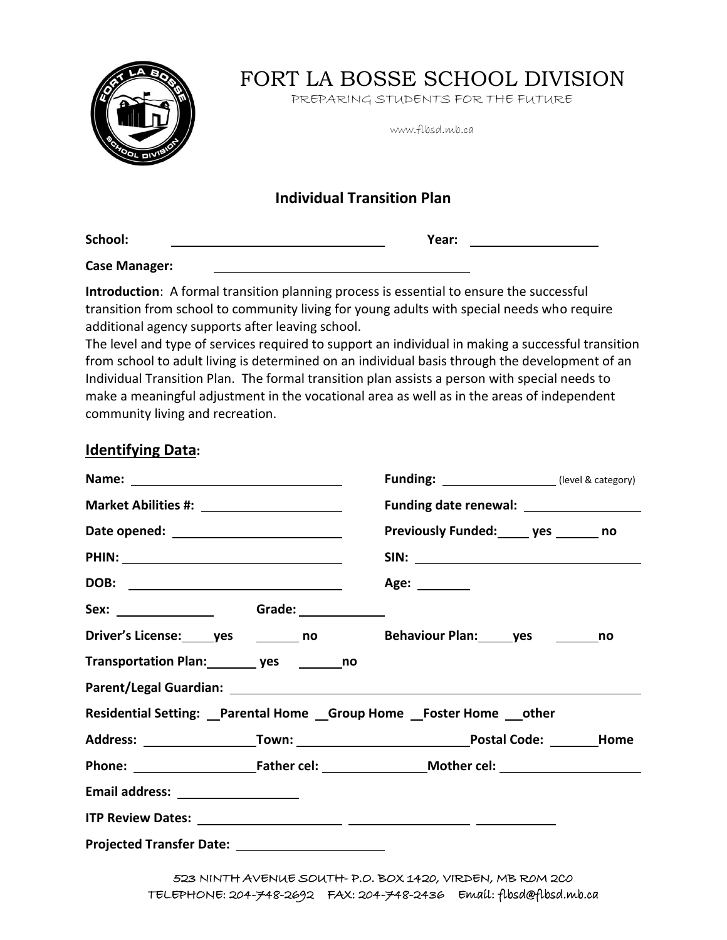

# FORT LA BOSSE SCHOOL DIVISION

PREPARING STUDENTS FOR THE FUTURE

www.flbsd.mb.ca

# **Individual Transition Plan**

**School: Year:**

**Case Manager:**

**Introduction**: A formal transition planning process is essential to ensure the successful transition from school to community living for young adults with special needs who require additional agency supports after leaving school.

The level and type of services required to support an individual in making a successful transition from school to adult living is determined on an individual basis through the development of an Individual Transition Plan. The formal transition plan assists a person with special needs to make a meaningful adjustment in the vocational area as well as in the areas of independent community living and recreation.

### **Identifying Data:**

|                                                                                                                                                                                                                                | <b>Funding:</b> ______________________(level & category)        |  |
|--------------------------------------------------------------------------------------------------------------------------------------------------------------------------------------------------------------------------------|-----------------------------------------------------------------|--|
|                                                                                                                                                                                                                                | Funding date renewal: ___________________                       |  |
|                                                                                                                                                                                                                                | Previously Funded: _____ yes _______ no                         |  |
|                                                                                                                                                                                                                                |                                                                 |  |
|                                                                                                                                                                                                                                | Age: ________                                                   |  |
|                                                                                                                                                                                                                                |                                                                 |  |
| Driver's License: ______ yes __________ no                                                                                                                                                                                     | Behaviour Plan: yes ________ no                                 |  |
| Transportation Plan: ________ yes _________ no                                                                                                                                                                                 |                                                                 |  |
| Parent/Legal Guardian: National Accounts and Accounts and Accounts and Accounts and Accounts are also been accounted as a set of the set of the set of the set of the set of the set of the set of the set of the set of the s |                                                                 |  |
|                                                                                                                                                                                                                                | Residential Setting: Parental Home Group Home Foster Home other |  |
|                                                                                                                                                                                                                                |                                                                 |  |
|                                                                                                                                                                                                                                | Phone: Father cel: Mother cel: Mother cel:                      |  |
|                                                                                                                                                                                                                                |                                                                 |  |
|                                                                                                                                                                                                                                |                                                                 |  |
|                                                                                                                                                                                                                                |                                                                 |  |

523 NINTH AVENUE SOUTH- P.O. BOX 1420, VIRDEN, MB R0M 2C0 TELEPHONE: 204-748-2692 FAX: 204-748-2436 Email: flbsd@flbsd.mb.ca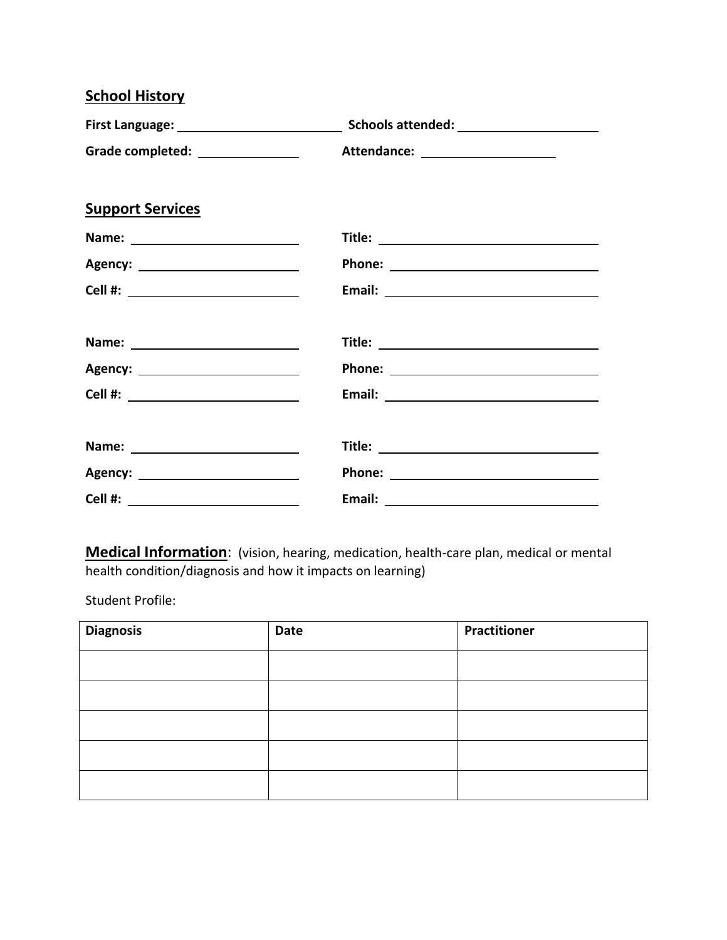| <b>School History</b>               |                                  |  |
|-------------------------------------|----------------------------------|--|
|                                     |                                  |  |
| Grade completed: _________________  | Attendance: ____________________ |  |
| <b>Support Services</b>             |                                  |  |
|                                     |                                  |  |
| Agency: __________________________  |                                  |  |
| Cell #: _______________________     |                                  |  |
|                                     |                                  |  |
|                                     |                                  |  |
| Cell #: ___________________________ |                                  |  |
|                                     |                                  |  |
|                                     |                                  |  |
|                                     |                                  |  |

**Medical Information**: (vision, hearing, medication, health-care plan, medical or mental health condition/diagnosis and how it impacts on learning)

Student Profile:

| <b>Diagnosis</b> | Date | <b>Practitioner</b> |
|------------------|------|---------------------|
|                  |      |                     |
|                  |      |                     |
|                  |      |                     |
|                  |      |                     |
|                  |      |                     |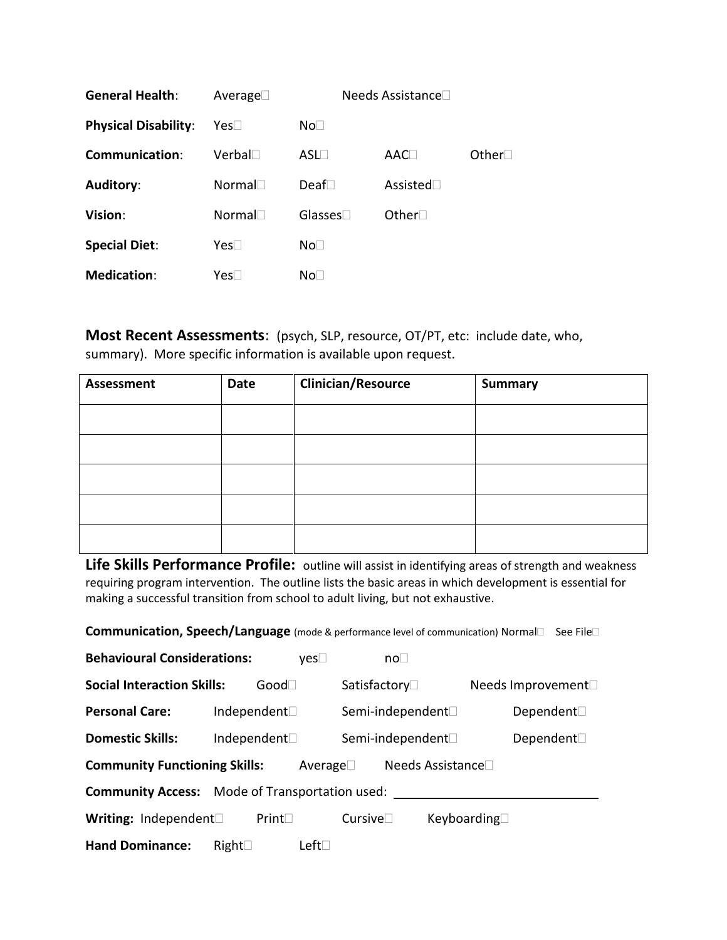| <b>General Health:</b>      | Average $\square$ | Needs Assistance□ |                 |              |
|-----------------------------|-------------------|-------------------|-----------------|--------------|
| <b>Physical Disability:</b> | Yes⊟              | No                |                 |              |
| Communication:              | $Verbal\square$   | $ASL \Box$        | AAC             | Other $\Box$ |
| Auditory:                   | Normal            | Deaf $\Box$       | Assisted $\Box$ |              |
| Vision:                     | Normal            | Glasses $\square$ | Other $\square$ |              |
| <b>Special Diet:</b>        | Yes               | No <sub>1</sub>   |                 |              |
| <b>Medication:</b>          | Yes⊟              | No⊟               |                 |              |

**Most Recent Assessments**: (psych, SLP, resource, OT/PT, etc: include date, who, summary). More specific information is available upon request.

| <b>Assessment</b> | Date | <b>Clinician/Resource</b> | <b>Summary</b> |
|-------------------|------|---------------------------|----------------|
|                   |      |                           |                |
|                   |      |                           |                |
|                   |      |                           |                |
|                   |      |                           |                |
|                   |      |                           |                |

Life Skills Performance Profile: outline will assist in identifying areas of strength and weakness requiring program intervention. The outline lists the basic areas in which development is essential for making a successful transition from school to adult living, but not exhaustive.

**Communication, Speech/Language** (mode & performance level of communication) Normal□ See File□

| <b>Behavioural Considerations:</b>                                   |               | $\mathsf{ves} \Box$ | no <sub>1</sub>                |                    |
|----------------------------------------------------------------------|---------------|---------------------|--------------------------------|--------------------|
| <b>Social Interaction Skills:</b>                                    | $Good\square$ |                     | Satisfactory□                  | Needs Improvement□ |
| <b>Personal Care:</b>                                                | Independent□  |                     | Semi-independent□              | Dependent□         |
| <b>Domestic Skills:</b>                                              | Independent□  |                     | Semi-independent <sup>[]</sup> | Dependent□         |
| <b>Community Functioning Skills:</b><br>Needs Assistance□<br>Average |               |                     |                                |                    |
| <b>Community Access:</b> Mode of Transportation used:                |               |                     |                                |                    |
| Writing: Independent                                                 | Print         | Cursive             |                                | Keyboarding□       |
| <b>Hand Dominance:</b>                                               | Right         | Left                |                                |                    |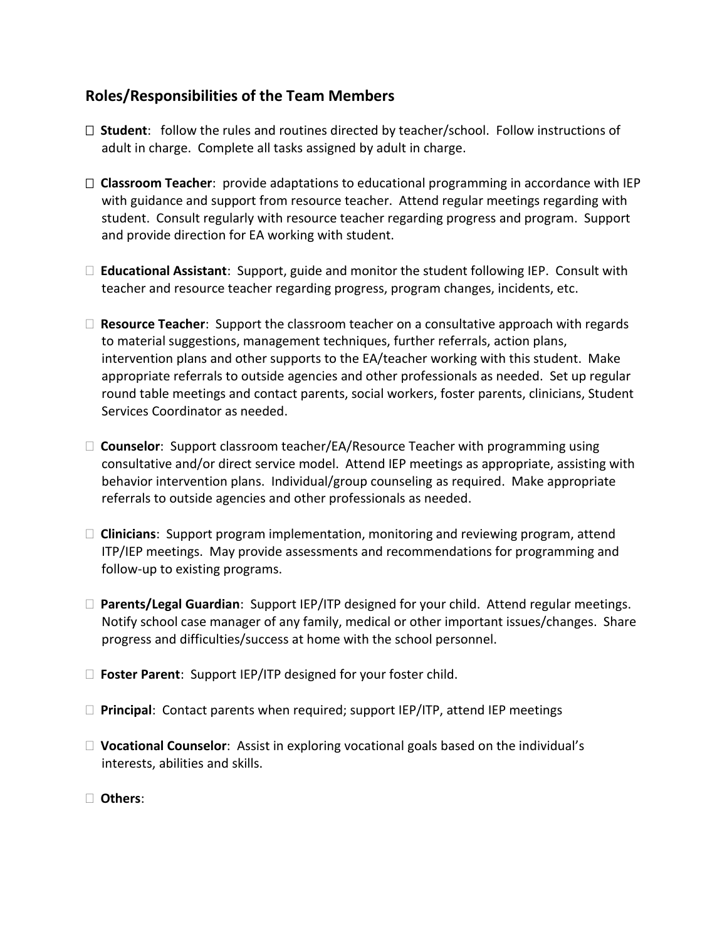### **Roles/Responsibilities of the Team Members**

- **Student**:follow the rules and routines directed by teacher/school. Follow instructions of adult in charge. Complete all tasks assigned by adult in charge.
- **Classroom Teacher**: provide adaptations to educational programming in accordance with IEP with guidance and support from resource teacher. Attend regular meetings regarding with student. Consult regularly with resource teacher regarding progress and program. Support and provide direction for EA working with student.
- **Educational Assistant**: Support, guide and monitor the student following IEP. Consult with teacher and resource teacher regarding progress, program changes, incidents, etc.
- □ **Resource Teacher**: Support the classroom teacher on a consultative approach with regards to material suggestions, management techniques, further referrals, action plans, intervention plans and other supports to the EA/teacher working with this student. Make appropriate referrals to outside agencies and other professionals as needed. Set up regular round table meetings and contact parents, social workers, foster parents, clinicians, Student Services Coordinator as needed.
- **Counselor**: Support classroom teacher/EA/Resource Teacher with programming using consultative and/or direct service model. Attend IEP meetings as appropriate, assisting with behavior intervention plans. Individual/group counseling as required. Make appropriate referrals to outside agencies and other professionals as needed.
- **Clinicians**: Support program implementation, monitoring and reviewing program, attend ITP/IEP meetings. May provide assessments and recommendations for programming and follow-up to existing programs.
- **Parents/Legal Guardian**: Support IEP/ITP designed for your child. Attend regular meetings. Notify school case manager of any family, medical or other important issues/changes. Share progress and difficulties/success at home with the school personnel.
- **Foster Parent**: Support IEP/ITP designed for your foster child.
- **Principal**: Contact parents when required; support IEP/ITP, attend IEP meetings
- □ **Vocational Counselor**: Assist in exploring vocational goals based on the individual's interests, abilities and skills.
- **Others**: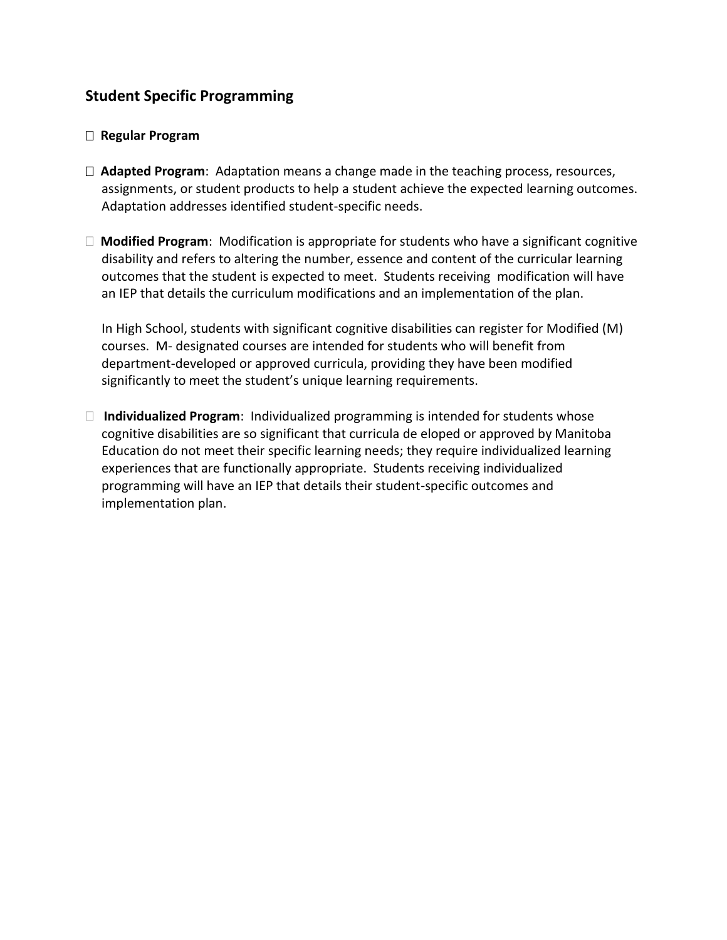# **Student Specific Programming**

#### **Regular Program**

- **Adapted Program**: Adaptation means a change made in the teaching process, resources, assignments, or student products to help a student achieve the expected learning outcomes. Adaptation addresses identified student-specific needs.
- **Modified Program**: Modification is appropriate for students who have a significant cognitive disability and refers to altering the number, essence and content of the curricular learning outcomes that the student is expected to meet. Students receiving modification will have an IEP that details the curriculum modifications and an implementation of the plan.

In High School, students with significant cognitive disabilities can register for Modified (M) courses. M- designated courses are intended for students who will benefit from department-developed or approved curricula, providing they have been modified significantly to meet the student's unique learning requirements.

 **Individualized Program**: Individualized programming is intended for students whose cognitive disabilities are so significant that curricula de eloped or approved by Manitoba Education do not meet their specific learning needs; they require individualized learning experiences that are functionally appropriate. Students receiving individualized programming will have an IEP that details their student-specific outcomes and implementation plan.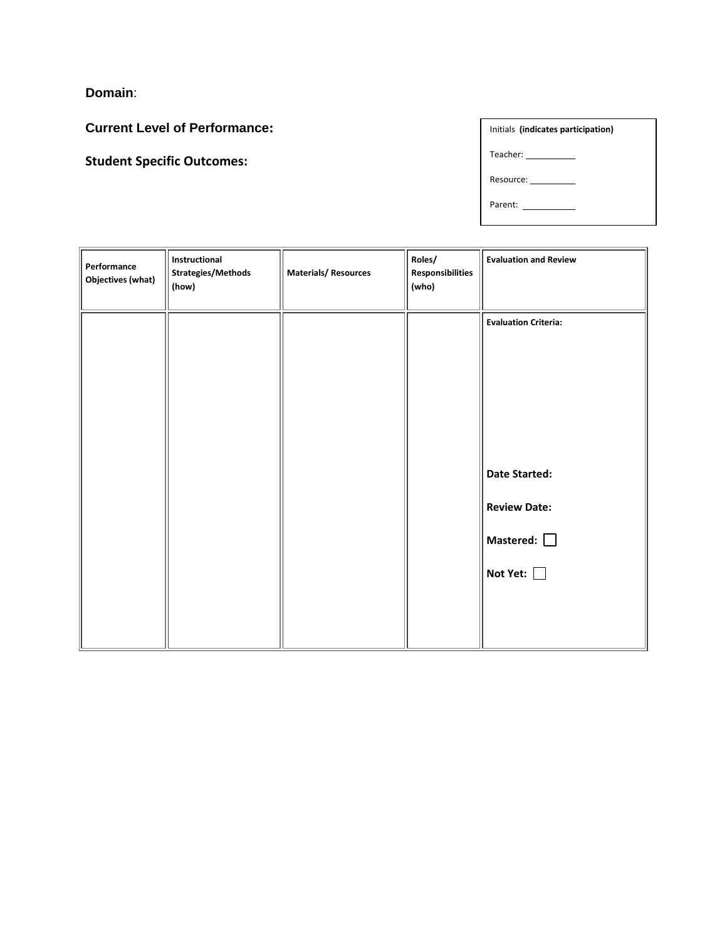**Domain**:

**Current Level of Performance:**

**Student Specific Outcomes:**

| Initials (indicates participation) |  |  |  |
|------------------------------------|--|--|--|
| Teacher: __________                |  |  |  |
| Resource:                          |  |  |  |
| Parent:                            |  |  |  |

Other:

| Performance<br><b>Objectives (what)</b> | Instructional<br><b>Strategies/Methods</b><br>(how) | <b>Materials/Resources</b> | Roles/<br><b>Responsibilities</b><br>(who) | <b>Evaluation and Review</b> |
|-----------------------------------------|-----------------------------------------------------|----------------------------|--------------------------------------------|------------------------------|
|                                         |                                                     |                            |                                            | <b>Evaluation Criteria:</b>  |
|                                         |                                                     |                            |                                            |                              |
|                                         |                                                     |                            |                                            |                              |
|                                         |                                                     |                            |                                            | <b>Date Started:</b>         |
|                                         |                                                     |                            |                                            | <b>Review Date:</b>          |
|                                         |                                                     |                            |                                            | Mastered: $\Box$             |
|                                         |                                                     |                            |                                            | Not Yet:                     |
|                                         |                                                     |                            |                                            |                              |
|                                         |                                                     |                            |                                            |                              |